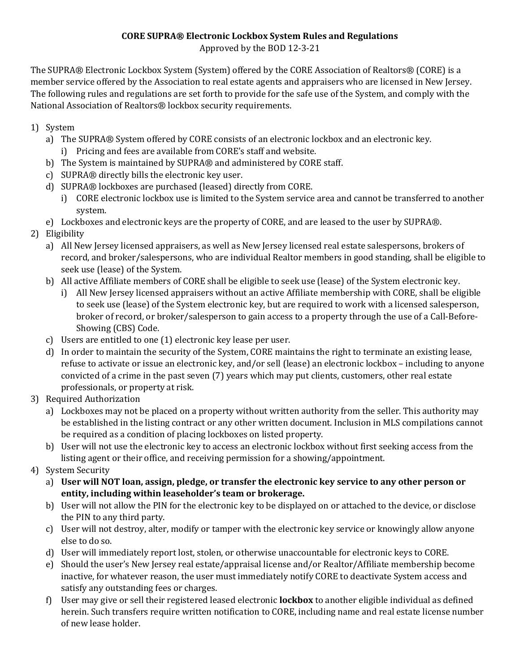## **CORE SUPRA® Electronic Lockbox System Rules and Regulations** Approved by the BOD 12-3-21

The SUPRA® Electronic Lockbox System (System) offered by the CORE Association of Realtors® (CORE) is a member service offered by the Association to real estate agents and appraisers who are licensed in New Jersey. The following rules and regulations are set forth to provide for the safe use of the System, and comply with the National Association of Realtors® lockbox security requirements.

- 1) System
	- a) The SUPRA® System offered by CORE consists of an electronic lockbox and an electronic key. i) Pricing and fees are available from CORE's staff and website.
	- b) The System is maintained by SUPRA® and administered by CORE staff.
	- c) SUPRA® directly bills the electronic key user.
	- d) SUPRA® lockboxes are purchased (leased) directly from CORE.
		- i) CORE electronic lockbox use is limited to the System service area and cannot be transferred to another system.
	- e) Lockboxes and electronic keys are the property of CORE, and are leased to the user by SUPRA®.
- 2) Eligibility
	- a) All New Jersey licensed appraisers, as well as New Jersey licensed real estate salespersons, brokers of record, and broker/salespersons, who are individual Realtor members in good standing, shall be eligible to seek use (lease) of the System.
	- b) All active Affiliate members of CORE shall be eligible to seek use (lease) of the System electronic key.
		- i) All New Jersey licensed appraisers without an active Affiliate membership with CORE, shall be eligible to seek use (lease) of the System electronic key, but are required to work with a licensed salesperson, broker of record, or broker/salesperson to gain access to a property through the use of a Call-Before-Showing (CBS) Code.
	- c) Users are entitled to one (1) electronic key lease per user.
	- d) In order to maintain the security of the System, CORE maintains the right to terminate an existing lease, refuse to activate or issue an electronic key, and/or sell (lease) an electronic lockbox – including to anyone convicted of a crime in the past seven (7) years which may put clients, customers, other real estate professionals, or property at risk.
- 3) Required Authorization
	- a) Lockboxes may not be placed on a property without written authority from the seller. This authority may be established in the listing contract or any other written document. Inclusion in MLS compilations cannot be required as a condition of placing lockboxes on listed property.
	- b) User will not use the electronic key to access an electronic lockbox without first seeking access from the listing agent or their office, and receiving permission for a showing/appointment.
- 4) System Security
	- a) **User will NOT loan, assign, pledge, or transfer the electronic key service to any other person or entity, including within leaseholder's team or brokerage.**
	- b) User will not allow the PIN for the electronic key to be displayed on or attached to the device, or disclose the PIN to any third party.
	- c) User will not destroy, alter, modify or tamper with the electronic key service or knowingly allow anyone else to do so.
	- d) User will immediately report lost, stolen, or otherwise unaccountable for electronic keys to CORE.
	- e) Should the user's New Jersey real estate/appraisal license and/or Realtor/Affiliate membership become inactive, for whatever reason, the user must immediately notify CORE to deactivate System access and satisfy any outstanding fees or charges.
	- f) User may give or sell their registered leased electronic **lockbox** to another eligible individual as defined herein. Such transfers require written notification to CORE, including name and real estate license number of new lease holder.